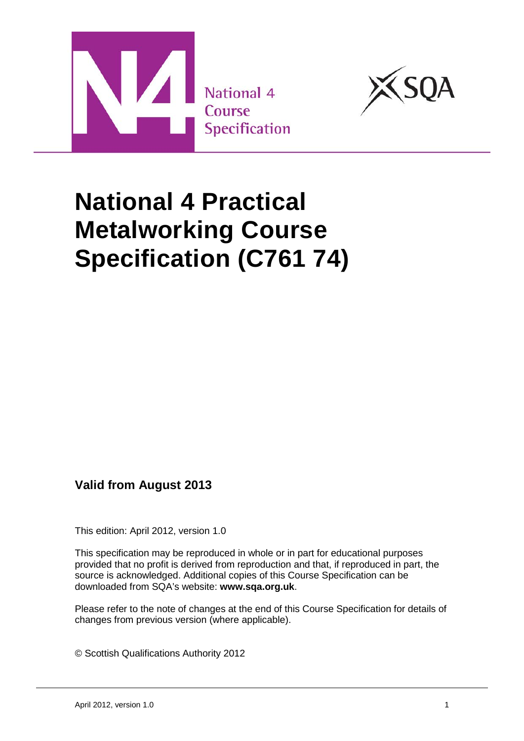



# **National 4 Practical Metalworking Course Specification (C761 74)**

**Valid from August 2013**

This edition: April 2012, version 1.0

This specification may be reproduced in whole or in part for educational purposes provided that no profit is derived from reproduction and that, if reproduced in part, the source is acknowledged. Additional copies of this Course Specification can be downloaded from SQA's website: **[www.sqa.org.uk](http://www.sqa.org.uk/)**.

Please refer to the note of changes at the end of this Course Specification for details of changes from previous version (where applicable).

© Scottish Qualifications Authority 2012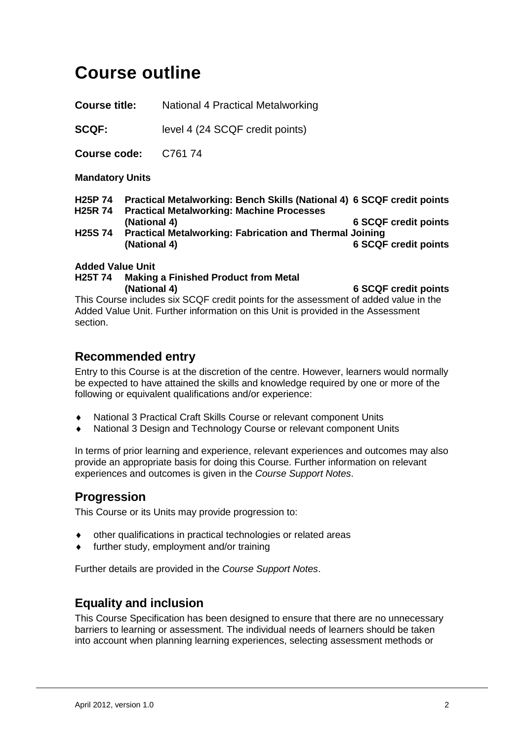# **Course outline**

**Course title:** National 4 Practical Metalworking

**SCQF:** level 4 (24 SCQF credit points)

**Course code:** C761 74

**Mandatory Units**

- **H25P 74 Practical Metalworking: Bench Skills (National 4) 6 SCQF credit points**
- **H25R 74 Practical Metalworking: Machine Processes**
- **(National 4) 6 SCQF credit points H25S 74 Practical Metalworking: Fabrication and Thermal Joining (National 4) 6 SCQF credit points**

#### **Added Value Unit**

**H25T 74 Making a Finished Product from Metal (National 4) 6 SCQF credit points**

This Course includes six SCQF credit points for the assessment of added value in the Added Value Unit. Further information on this Unit is provided in the Assessment section.

### **Recommended entry**

Entry to this Course is at the discretion of the centre. However, learners would normally be expected to have attained the skills and knowledge required by one or more of the following or equivalent qualifications and/or experience:

- National 3 Practical Craft Skills Course or relevant component Units
- National 3 Design and Technology Course or relevant component Units

In terms of prior learning and experience, relevant experiences and outcomes may also provide an appropriate basis for doing this Course. Further information on relevant experiences and outcomes is given in the *Course Support Notes*.

# **Progression**

This Course or its Units may provide progression to:

- other qualifications in practical technologies or related areas
- further study, employment and/or training

Further details are provided in the *Course Support Notes*.

# **Equality and inclusion**

This Course Specification has been designed to ensure that there are no unnecessary barriers to learning or assessment. The individual needs of learners should be taken into account when planning learning experiences, selecting assessment methods or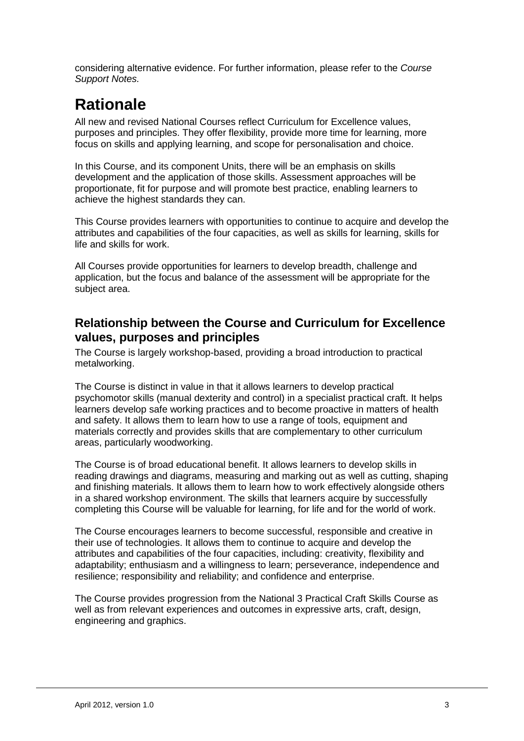considering alternative evidence. For further information, please refer to the *Course Support Notes.*

# **Rationale**

All new and revised National Courses reflect Curriculum for Excellence values, purposes and principles. They offer flexibility, provide more time for learning, more focus on skills and applying learning, and scope for personalisation and choice.

In this Course, and its component Units, there will be an emphasis on skills development and the application of those skills. Assessment approaches will be proportionate, fit for purpose and will promote best practice, enabling learners to achieve the highest standards they can.

This Course provides learners with opportunities to continue to acquire and develop the attributes and capabilities of the four capacities, as well as skills for learning, skills for life and skills for work.

All Courses provide opportunities for learners to develop breadth, challenge and application, but the focus and balance of the assessment will be appropriate for the subject area.

# **Relationship between the Course and Curriculum for Excellence values, purposes and principles**

The Course is largely workshop-based, providing a broad introduction to practical metalworking.

The Course is distinct in value in that it allows learners to develop practical psychomotor skills (manual dexterity and control) in a specialist practical craft. It helps learners develop safe working practices and to become proactive in matters of health and safety. It allows them to learn how to use a range of tools, equipment and materials correctly and provides skills that are complementary to other curriculum areas, particularly woodworking.

The Course is of broad educational benefit. It allows learners to develop skills in reading drawings and diagrams, measuring and marking out as well as cutting, shaping and finishing materials. It allows them to learn how to work effectively alongside others in a shared workshop environment. The skills that learners acquire by successfully completing this Course will be valuable for learning, for life and for the world of work.

The Course encourages learners to become successful, responsible and creative in their use of technologies. It allows them to continue to acquire and develop the attributes and capabilities of the four capacities, including: creativity, flexibility and adaptability; enthusiasm and a willingness to learn; perseverance, independence and resilience; responsibility and reliability; and confidence and enterprise.

The Course provides progression from the National 3 Practical Craft Skills Course as well as from relevant experiences and outcomes in expressive arts, craft, design, engineering and graphics.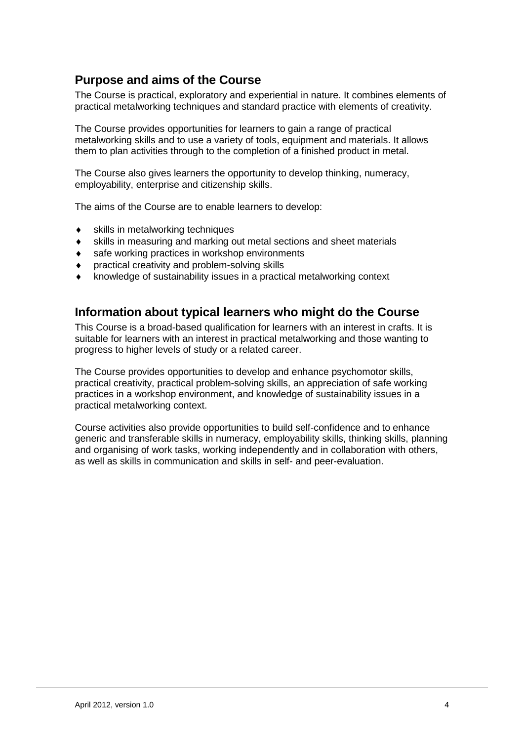# **Purpose and aims of the Course**

The Course is practical, exploratory and experiential in nature. It combines elements of practical metalworking techniques and standard practice with elements of creativity.

The Course provides opportunities for learners to gain a range of practical metalworking skills and to use a variety of tools, equipment and materials. It allows them to plan activities through to the completion of a finished product in metal.

The Course also gives learners the opportunity to develop thinking, numeracy, employability, enterprise and citizenship skills.

The aims of the Course are to enable learners to develop:

- skills in metalworking techniques
- ♦ skills in measuring and marking out metal sections and sheet materials
- ♦ safe working practices in workshop environments
- ♦ practical creativity and problem-solving skills
- knowledge of sustainability issues in a practical metalworking context

### **Information about typical learners who might do the Course**

This Course is a broad-based qualification for learners with an interest in crafts. It is suitable for learners with an interest in practical metalworking and those wanting to progress to higher levels of study or a related career.

The Course provides opportunities to develop and enhance psychomotor skills, practical creativity, practical problem-solving skills, an appreciation of safe working practices in a workshop environment, and knowledge of sustainability issues in a practical metalworking context.

Course activities also provide opportunities to build self-confidence and to enhance generic and transferable skills in numeracy, employability skills, thinking skills, planning and organising of work tasks, working independently and in collaboration with others, as well as skills in communication and skills in self- and peer-evaluation.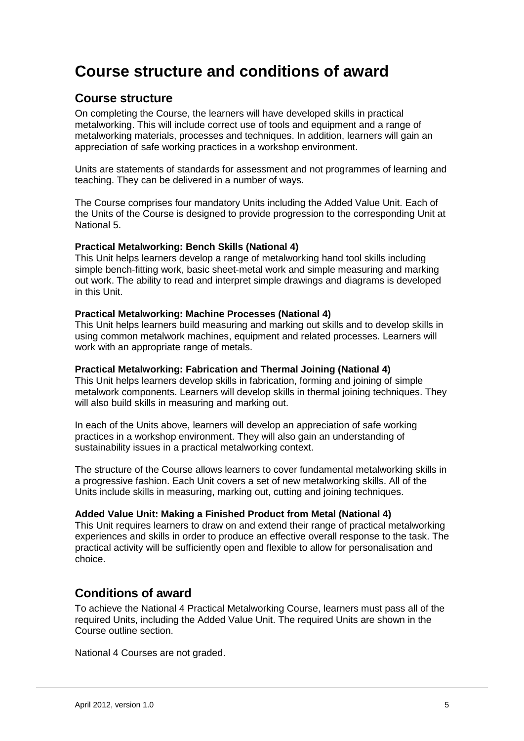# **Course structure and conditions of award**

# **Course structure**

On completing the Course, the learners will have developed skills in practical metalworking. This will include correct use of tools and equipment and a range of metalworking materials, processes and techniques. In addition, learners will gain an appreciation of safe working practices in a workshop environment.

Units are statements of standards for assessment and not programmes of learning and teaching. They can be delivered in a number of ways.

The Course comprises four mandatory Units including the Added Value Unit. Each of the Units of the Course is designed to provide progression to the corresponding Unit at National 5.

#### **Practical Metalworking: Bench Skills (National 4)**

This Unit helps learners develop a range of metalworking hand tool skills including simple bench-fitting work, basic sheet-metal work and simple measuring and marking out work. The ability to read and interpret simple drawings and diagrams is developed in this Unit.

#### **Practical Metalworking: Machine Processes (National 4)**

This Unit helps learners build measuring and marking out skills and to develop skills in using common metalwork machines, equipment and related processes. Learners will work with an appropriate range of metals.

#### **Practical Metalworking: Fabrication and Thermal Joining (National 4)**

This Unit helps learners develop skills in fabrication, forming and joining of simple metalwork components. Learners will develop skills in thermal joining techniques. They will also build skills in measuring and marking out.

In each of the Units above, learners will develop an appreciation of safe working practices in a workshop environment. They will also gain an understanding of sustainability issues in a practical metalworking context.

The structure of the Course allows learners to cover fundamental metalworking skills in a progressive fashion. Each Unit covers a set of new metalworking skills. All of the Units include skills in measuring, marking out, cutting and joining techniques.

#### **Added Value Unit: Making a Finished Product from Metal (National 4)**

This Unit requires learners to draw on and extend their range of practical metalworking experiences and skills in order to produce an effective overall response to the task. The practical activity will be sufficiently open and flexible to allow for personalisation and choice.

### **Conditions of award**

To achieve the National 4 Practical Metalworking Course, learners must pass all of the required Units, including the Added Value Unit. The required Units are shown in the Course outline section.

National 4 Courses are not graded.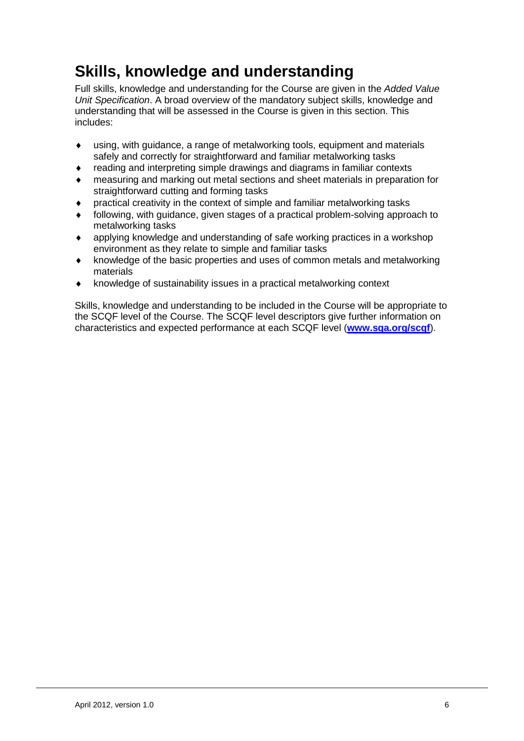# **Skills, knowledge and understanding**

Full skills, knowledge and understanding for the Course are given in the *Added Value Unit Specification*. A broad overview of the mandatory subject skills, knowledge and understanding that will be assessed in the Course is given in this section. This includes:

- ♦ using, with guidance, a range of metalworking tools, equipment and materials safely and correctly for straightforward and familiar metalworking tasks
- ♦ reading and interpreting simple drawings and diagrams in familiar contexts
- ♦ measuring and marking out metal sections and sheet materials in preparation for straightforward cutting and forming tasks
- ♦ practical creativity in the context of simple and familiar metalworking tasks
- following, with guidance, given stages of a practical problem-solving approach to metalworking tasks
- ♦ applying knowledge and understanding of safe working practices in a workshop environment as they relate to simple and familiar tasks
- ♦ knowledge of the basic properties and uses of common metals and metalworking materials
- ♦ knowledge of sustainability issues in a practical metalworking context

Skills, knowledge and understanding to be included in the Course will be appropriate to the SCQF level of the Course. The SCQF level descriptors give further information on characteristics and expected performance at each SCQF level (**www.sqa.org/scqf**).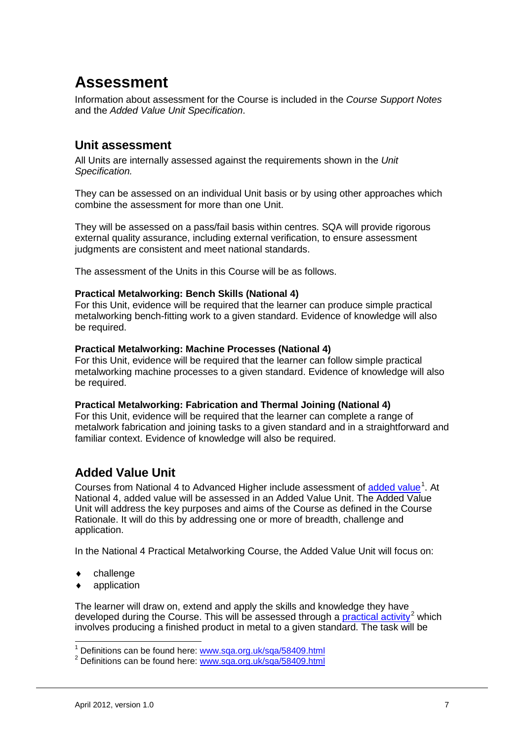# **Assessment**

Information about assessment for the Course is included in the *Course Support Notes* and the *Added Value Unit Specification*.

# **Unit assessment**

All Units are internally assessed against the requirements shown in the *Unit Specification.*

They can be assessed on an individual Unit basis or by using other approaches which combine the assessment for more than one Unit.

They will be assessed on a pass/fail basis within centres. SQA will provide rigorous external quality assurance, including external verification, to ensure assessment judgments are consistent and meet national standards.

The assessment of the Units in this Course will be as follows.

#### **Practical Metalworking: Bench Skills (National 4)**

For this Unit, evidence will be required that the learner can produce simple practical metalworking bench-fitting work to a given standard. Evidence of knowledge will also be required.

#### **Practical Metalworking: Machine Processes (National 4)**

For this Unit, evidence will be required that the learner can follow simple practical metalworking machine processes to a given standard. Evidence of knowledge will also be required.

#### **Practical Metalworking: Fabrication and Thermal Joining (National 4)**

For this Unit, evidence will be required that the learner can complete a range of metalwork fabrication and joining tasks to a given standard and in a straightforward and familiar context. Evidence of knowledge will also be required.

# **Added Value Unit**

Courses from National 4 to Advanced Higher include assessment of [added value](http://www.sqa.org.uk/sqa/58409.html)<sup>[1](#page-6-0)</sup>. At National 4, added value will be assessed in an Added Value Unit. The Added Value Unit will address the key purposes and aims of the Course as defined in the Course Rationale. It will do this by addressing one or more of breadth, challenge and application.

In the National 4 Practical Metalworking Course, the Added Value Unit will focus on:

- challenge
- application

The learner will draw on, extend and apply the skills and knowledge they have developed during the Course. This will be assessed through a **practical activity**<sup>[2](#page-6-1)</sup> which involves producing a finished product in metal to a given standard. The task will be

<span id="page-6-1"></span><span id="page-6-0"></span><sup>&</sup>lt;sup>1</sup> Definitions can be found here: [www.sqa.org.uk/sqa/58409.html](http://www.sqa.org.uk/sqa/58409.html)<br><sup>2</sup> Definitions can be found here: www.sqa.org.uk/sqa/58409.html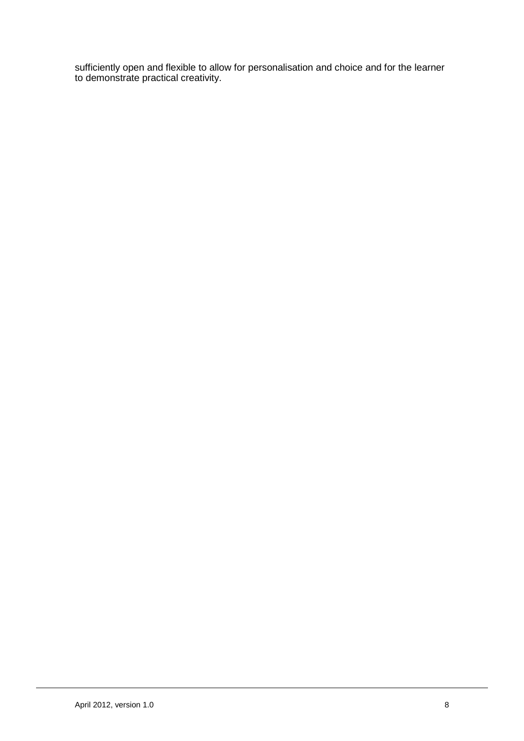sufficiently open and flexible to allow for personalisation and choice and for the learner to demonstrate practical creativity.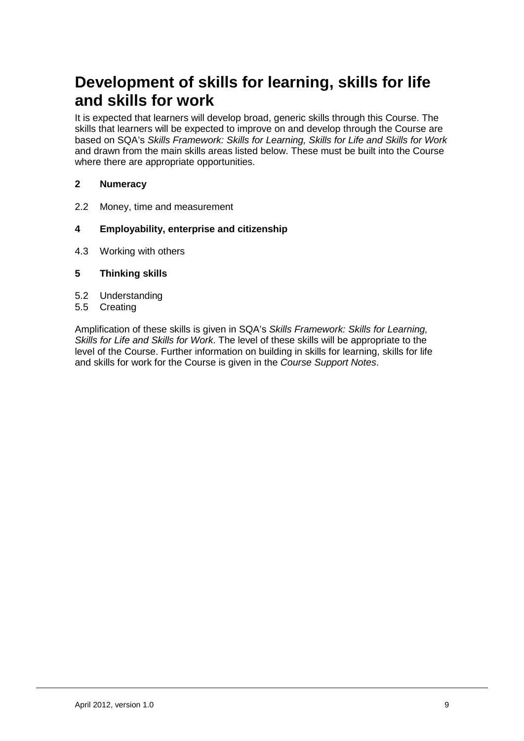# **Development of skills for learning, skills for life and skills for work**

It is expected that learners will develop broad, generic skills through this Course. The skills that learners will be expected to improve on and develop through the Course are based on SQA's *Skills Framework: Skills for Learning, Skills for Life and Skills for Work*  and drawn from the main skills areas listed below. These must be built into the Course where there are appropriate opportunities.

#### **2 Numeracy**

2.2 Money, time and measurement

#### **4 Employability, enterprise and citizenship**

4.3 Working with others

#### **5 Thinking skills**

- 5.2 Understanding
- 5.5 Creating

Amplification of these skills is given in SQA's *Skills Framework: Skills for Learning, Skills for Life and Skills for Work*. The level of these skills will be appropriate to the level of the Course. Further information on building in skills for learning, skills for life and skills for work for the Course is given in the *Course Support Notes*.